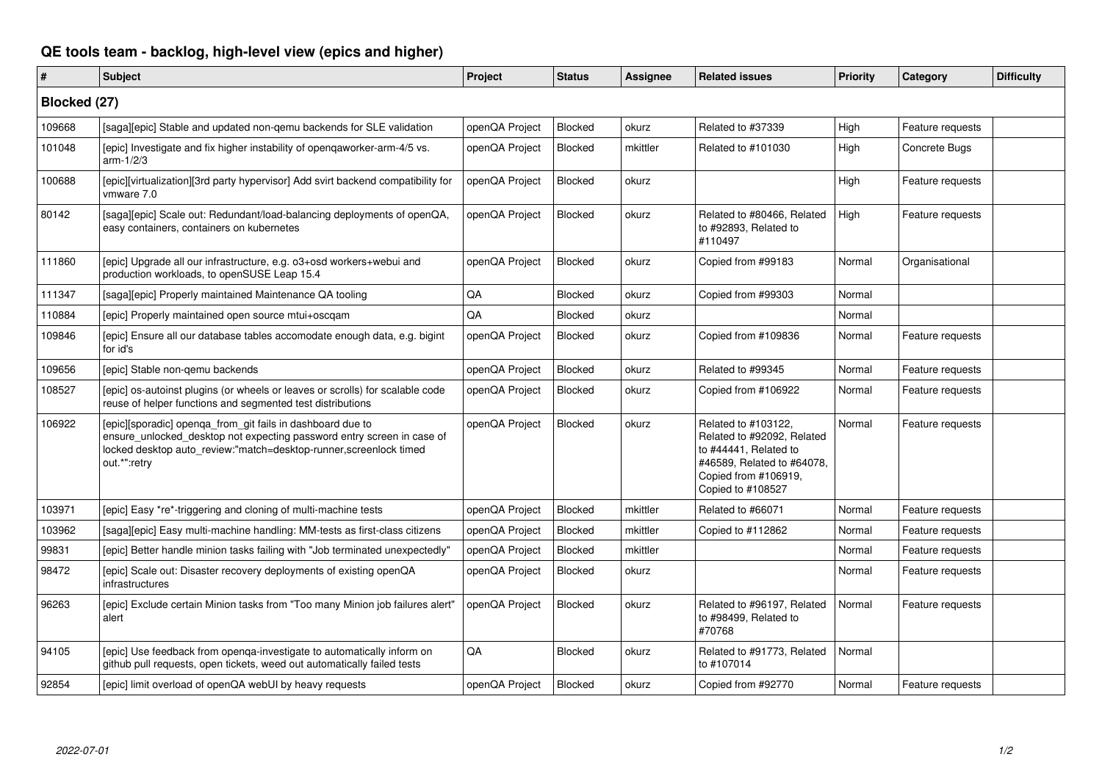## **QE tools team - backlog, high-level view (epics and higher)**

| #            | Subject                                                                                                                                                                                                                   | Project        | <b>Status</b>  | <b>Assignee</b> | <b>Related issues</b>                                                                                                                                 | <b>Priority</b> | Category         | <b>Difficulty</b> |  |  |
|--------------|---------------------------------------------------------------------------------------------------------------------------------------------------------------------------------------------------------------------------|----------------|----------------|-----------------|-------------------------------------------------------------------------------------------------------------------------------------------------------|-----------------|------------------|-------------------|--|--|
| Blocked (27) |                                                                                                                                                                                                                           |                |                |                 |                                                                                                                                                       |                 |                  |                   |  |  |
| 109668       | [saga][epic] Stable and updated non-gemu backends for SLE validation                                                                                                                                                      | openQA Project | Blocked        | okurz           | Related to #37339                                                                                                                                     | High            | Feature requests |                   |  |  |
| 101048       | [epic] Investigate and fix higher instability of opengaworker-arm-4/5 vs.<br>$arm-1/2/3$                                                                                                                                  | openQA Project | <b>Blocked</b> | mkittler        | Related to #101030                                                                                                                                    | High            | Concrete Bugs    |                   |  |  |
| 100688       | [epic][virtualization][3rd party hypervisor] Add svirt backend compatibility for<br>vmware 7.0                                                                                                                            | openQA Project | Blocked        | okurz           |                                                                                                                                                       | High            | Feature requests |                   |  |  |
| 80142        | [saga][epic] Scale out: Redundant/load-balancing deployments of openQA,<br>easy containers, containers on kubernetes                                                                                                      | openQA Project | Blocked        | okurz           | Related to #80466, Related<br>to #92893, Related to<br>#110497                                                                                        | High            | Feature requests |                   |  |  |
| 111860       | [epic] Upgrade all our infrastructure, e.g. o3+osd workers+webui and<br>production workloads, to openSUSE Leap 15.4                                                                                                       | openQA Project | Blocked        | okurz           | Copied from #99183                                                                                                                                    | Normal          | Organisational   |                   |  |  |
| 111347       | [saga][epic] Properly maintained Maintenance QA tooling                                                                                                                                                                   | QA             | Blocked        | okurz           | Copied from #99303                                                                                                                                    | Normal          |                  |                   |  |  |
| 110884       | [epic] Properly maintained open source mtui+oscqam                                                                                                                                                                        | QA             | <b>Blocked</b> | okurz           |                                                                                                                                                       | Normal          |                  |                   |  |  |
| 109846       | [epic] Ensure all our database tables accomodate enough data, e.g. bigint<br>for id's                                                                                                                                     | openQA Project | <b>Blocked</b> | okurz           | Copied from #109836                                                                                                                                   | Normal          | Feature requests |                   |  |  |
| 109656       | [epic] Stable non-gemu backends                                                                                                                                                                                           | openQA Project | Blocked        | okurz           | Related to #99345                                                                                                                                     | Normal          | Feature requests |                   |  |  |
| 108527       | (epic) os-autoinst plugins (or wheels or leaves or scrolls) for scalable code<br>reuse of helper functions and segmented test distributions                                                                               | openQA Project | <b>Blocked</b> | okurz           | Copied from #106922                                                                                                                                   | Normal          | Feature requests |                   |  |  |
| 106922       | [epic][sporadic] openqa_from_git fails in dashboard due to<br>ensure_unlocked_desktop not expecting password entry screen in case of<br>locked desktop auto_review:"match=desktop-runner,screenlock timed<br>out.*":retry | openQA Project | Blocked        | okurz           | Related to #103122,<br>Related to #92092, Related<br>to #44441, Related to<br>#46589, Related to #64078,<br>Copied from #106919,<br>Copied to #108527 | Normal          | Feature requests |                   |  |  |
| 103971       | [epic] Easy *re*-triggering and cloning of multi-machine tests                                                                                                                                                            | openQA Project | <b>Blocked</b> | mkittler        | Related to #66071                                                                                                                                     | Normal          | Feature requests |                   |  |  |
| 103962       | [saga][epic] Easy multi-machine handling: MM-tests as first-class citizens                                                                                                                                                | openQA Project | Blocked        | mkittler        | Copied to #112862                                                                                                                                     | Normal          | Feature requests |                   |  |  |
| 99831        | [epic] Better handle minion tasks failing with "Job terminated unexpectedly"                                                                                                                                              | openQA Project | <b>Blocked</b> | mkittler        |                                                                                                                                                       | Normal          | Feature requests |                   |  |  |
| 98472        | [epic] Scale out: Disaster recovery deployments of existing openQA<br>infrastructures                                                                                                                                     | openQA Project | Blocked        | okurz           |                                                                                                                                                       | Normal          | Feature requests |                   |  |  |
| 96263        | [epic] Exclude certain Minion tasks from "Too many Minion job failures alert"<br>alert                                                                                                                                    | openQA Project | Blocked        | okurz           | Related to #96197. Related<br>to #98499, Related to<br>#70768                                                                                         | Normal          | Feature requests |                   |  |  |
| 94105        | [epic] Use feedback from openqa-investigate to automatically inform on<br>github pull requests, open tickets, weed out automatically failed tests                                                                         | QA             | Blocked        | okurz           | Related to #91773, Related<br>to #107014                                                                                                              | Normal          |                  |                   |  |  |
| 92854        | [epic] limit overload of openQA webUI by heavy requests                                                                                                                                                                   | openQA Project | Blocked        | okurz           | Copied from #92770                                                                                                                                    | Normal          | Feature requests |                   |  |  |